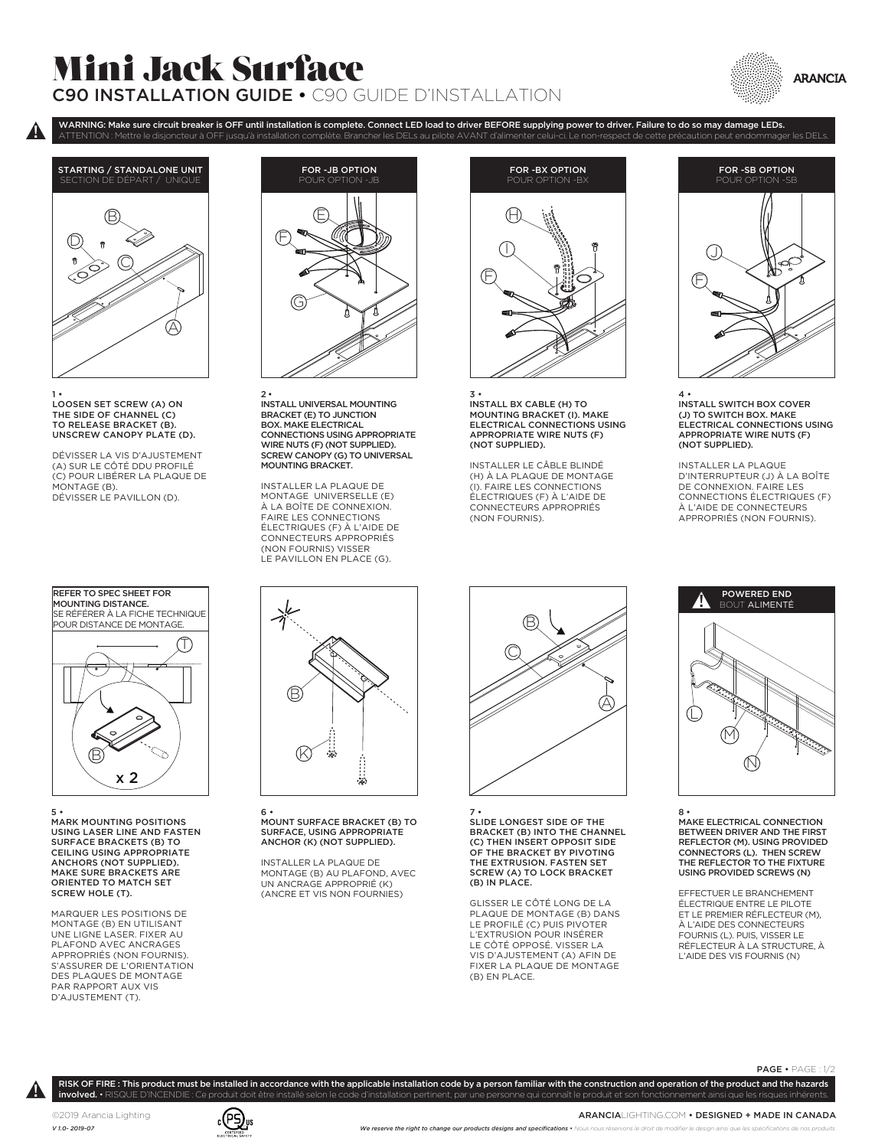## Mini Jack Surface C90 INSTALLATION GUIDE • C90 GUIDE D'INSTALLATION





 $\pmb{\mathsf{p}}$ 

1 • LOOSEN SET SCREW (A) ON THE SIDE OF CHANNEL (C) TO RELEASE BRACKET (B). UNSCREW CANOPY PLATE (D).

DÉVISSER LA VIS D'AJUSTEMENT (A) SUR LE CÔTÉ DDU PROFILÉ (C) POUR LIBÉRER LA PLAQUE DE MONTAGE (B). DÉVISSER LE PAVILLON (D).



USING LASER LINE AND FASTEN 5 • MARK MOUNTING POSITIONS SURFACE BRACKETS (B) TO CEILING USING APPROPRIATE ANCHORS (NOT SUPPLIED). MAKE SURE BRACKETS ARE ORIENTED TO MATCH SET SCREW HOLE (T).

MARQUER LES POSITIONS DE MONTAGE (B) EN UTILISANT UNE LIGNE LASER. FIXER AU PLAFOND AVEC ANCRAGES APPROPRIÉS (NON FOURNIS). S'ASSURER DE L'ORIENTATION DES PLAQUES DE MONTAGE PAR RAPPORT AUX VIS D'AJUSTEMENT (T).



WARNING: Make sure circuit breaker is OFF until installation is complete. Connect LED load to driver BEFORE supplying power to driver. Failure to do so may damage LEDs.

2 • INSTALL UNIVERSAL MOUNTING BRACKET (E) TO JUNCTION BOX. MAKE ELECTRICAL CONNECTIONS USING APPROPRIATE WIRE NUTS (F) (NOT SUPPLIED). SCREW CANOPY (G) TO UNIVERSAL MOUNTING BRACKET.

INSTALLER LA PLAQUE DE MONTAGE UNIVERSELLE (E) À LA BOÎTE DE CONNEXION. FAIRE LES CONNECTIONS ÉLECTRIQUES (F) À L'AIDE DE CONNECTEURS APPROPRIÉS (NON FOURNIS) VISSER LE PAVILLON EN PLACE (G).



3 • INSTALL BX CABLE (H) TO MOUNTING BRACKET (I). MAKE ELECTRICAL CONNECTIONS USING APPROPRIATE WIRE NUTS (F) (NOT SUPPLIED).

INSTALLER LE CÂBLE BLINDÉ (H) À LA PLAQUE DE MONTAGE (I). FAIRE LES CONNECTIONS ÉLECTRIQUES (F) À L'AIDE DE CONNECTEURS APPROPRIÉS (NON FOURNIS).



4 • INSTALL SWITCH BOX COVER (J) TO SWITCH BOX. MAKE ELECTRICAL CONNECTIONS USING APPROPRIATE WIRE NUTS (F) (NOT SUPPLIED).

INSTALLER LA PLAQUE D'INTERRUPTEUR (J) À LA BOÎTE DE CONNEXION. FAIRE LES CONNECTIONS ÉLECTRIQUES (F) À L'AIDE DE CONNECTEURS<br>APPROPRIÉS (NON FOURNIS).



8 • MAKE ELECTRICAL CONNECTION BETWEEN DRIVER AND THE FIRST REFLECTOR (M). USING PROVIDED CONNECTORS (L). THEN SCREW THE REFLECTOR TO THE FIXTURE USING PROVIDED SCREWS (N)

EFFECTUER LE BRANCHEMENT ÉLECTRIQUE ENTRE LE PILOTE ET LE PREMIER RÉFLECTEUR (M), À L'AIDE DES CONNECTEURS<br>FOURNIS (L). PUIS, VISSER LE<br>RÉFLECTEUR À LA STRUCTURE, À L'AIDE DES VIS FOURNIS (N)

 $D$   $\otimes$   $\otimes$ Ĥ 46

> MOUNT SURFACE BRACKET (B)<br>SURFACE, USING APPROPRIATE 6 • MOUNT SURFACE BRACKET (B) TO ANCHOR (K) (NOT SUPPLIED).

> INSTALLER LA PLAQUE DE MONTAGE (B) AU PLAFOND, AVEC UN ANCRAGE APPROPRIÉ (K) (ANCRE ET VIS NON FOURNIES)



7 • SLIDE LONGEST SIDE OF THE BRACKET (B) INTO THE CHANNEL (C) THEN INSERT OPPOSIT SIDE OF THE BRACKET BY PIVOTING THE EXTRUSION. FASTEN SET SCREW (A) TO LOCK BRACKET (B) IN PLACE.

GLISSER LE CÔTÉ LONG DE LA PLAQUE DE MONTAGE (B) DANS LE PROFILÉ (C) PUIS PIVOTER L'EXTRUSION POUR INSÉRER LE CÔTÉ OPPOSÉ. VISSER LA VIS D'AJUSTEMENT (A) AFIN DE FIXER LA PLAQUE DE MONTAGE (B) EN PLACE.

RISK OF FIRE : This product must be installed in accordance with the applicable installation code by a person familiar with the construction and operation of the product and the hazards involved. • RISQUE D'INCENDIE : Ce produit doit être installé selon le code d'installation pertinent, par une personne qui connaît le produit et son fonctionnement ainsi que les risques inhérent

 $\pmb{\mathsf{p}}$ 

PAGE • PAGE : 1/2

©2019 Arancia Lighting *V 1.0- 2019-07*



ARANCIALIGHTING.COM • DESIGNED + MADE IN CANADA